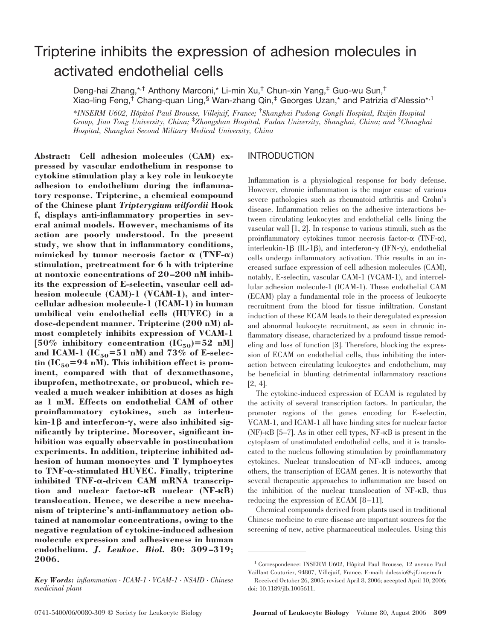# Tripterine inhibits the expression of adhesion molecules in activated endothelial cells

Deng-hai Zhang,\*,† Anthony Marconi,\* Li-min Xu,† Chun-xin Yang,‡ Guo-wu Sun,† Xiao-ling Feng,† Chang-quan Ling,§ Wan-zhang Qin,‡ Georges Uzan,\* and Patrizia d'Alessio\*,1

\**INSERM U602, Hoˆpital Paul Brousse, Villejuif, France;* † *Shanghai Pudong Gongli Hospital, Ruijin Hospital Group, Jiao Tong University, China;* ‡ *Zhongshan Hospital, Fudan University, Shanghai, China; and* § *Changhai Hospital, Shanghai Second Military Medical University, China*

**Abstract: Cell adhesion molecules (CAM) expressed by vascular endothelium in response to cytokine stimulation play a key role in leukocyte adhesion to endothelium during the inflammatory response. Tripterine, a chemical compound of the Chinese plant** *Tripterygium wilfordii* **Hook f, displays anti-inflammatory properties in several animal models. However, mechanisms of its action are poorly understood. In the present study, we show that in inflammatory conditions,** mimicked by tumor necrosis factor  $\alpha$  (TNF- $\alpha$ ) **stimulation, pretreatment for 6 h with tripterine at nontoxic concentrations of 20 –200 nM inhibits the expression of E-selectin, vascular cell adhesion molecule (CAM)-1 (VCAM-1), and intercellular adhesion molecule-1 (ICAM-1) in human umbilical vein endothelial cells (HUVEC) in a dose-dependent manner. Tripterine (200 nM) almost completely inhibits expression of VCAM-1**  $[50\%$  inhibitory concentration  $(IC_{50})=52$  nM] and ICAM-1 (IC<sub>50</sub>=51 nM) and 73% of E-selectin (IC<sub>50</sub>=94 nM). This inhibition effect is prom**inent, compared with that of dexamethasone, ibuprofen, methotrexate, or probucol, which revealed a much weaker inhibition at doses as high as 1 mM. Effects on endothelial CAM of other proinflammatory cytokines, such as interleukin-1 and interferon-, were also inhibited significantly by tripterine. Moreover, significant inhibition was equally observable in postincubation experiments. In addition, tripterine inhibited adhesion of human monocytes and T lymphocytes to TNF--stimulated HUVEC. Finally, tripterine** inhibited TNF-α-driven CAM mRNA transcrip**tion and nuclear factor-B nuclear (NF-B) translocation. Hence, we describe a new mechanism of tripterine's anti-inflammatory action obtained at nanomolar concentrations, owing to the negative regulation of cytokine-induced adhesion molecule expression and adhesiveness in human endothelium.** *J. Leukoc. Biol.* **80: 309 –319; 2006.**

*Key Words: inflammation ICAM-1 VCAM-1 NSAID Chinese medicinal plant*

## INTRODUCTION

Inflammation is a physiological response for body defense. However, chronic inflammation is the major cause of various severe pathologies such as rheumatoid arthritis and Crohn's disease. Inflammation relies on the adhesive interactions between circulating leukocytes and endothelial cells lining the vascular wall [1, 2]. In response to various stimuli, such as the proinflammatory cytokines tumor necrosis factor- $\alpha$  (TNF- $\alpha$ ), interleukin-1 $\beta$  (IL-1 $\beta$ ), and interferon- $\gamma$  (IFN- $\gamma$ ), endothelial cells undergo inflammatory activation. This results in an increased surface expression of cell adhesion molecules (CAM), notably, E-selectin, vascular CAM-1 (VCAM-1), and intercellular adhesion molecule-1 (ICAM-1). These endothelial CAM (ECAM) play a fundamental role in the process of leukocyte recruitment from the blood for tissue infiltration. Constant induction of these ECAM leads to their deregulated expression and abnormal leukocyte recruitment, as seen in chronic inflammatory disease, characterized by a profound tissue remodeling and loss of function [3]. Therefore, blocking the expression of ECAM on endothelial cells, thus inhibiting the interaction between circulating leukocytes and endothelium, may be beneficial in blunting detrimental inflammatory reactions [2, 4].

The cytokine-induced expression of ECAM is regulated by the activity of several transcription factors. In particular, the promoter regions of the genes encoding for E-selectin, VCAM-1, and ICAM-1 all have binding sites for nuclear factor  $(NF)$ - $KB$  [5–7]. As in other cell types,  $NF$ - $KB$  is present in the cytoplasm of unstimulated endothelial cells, and it is translocated to the nucleus following stimulation by proinflammatory cytokines. Nuclear translocation of NF-KB induces, among others, the transcription of ECAM genes. It is noteworthy that several therapeutic approaches to inflammation are based on the inhibition of the nuclear translocation of  $NF-\kappa B$ , thus reducing the expression of ECAM [8–11].

Chemical compounds derived from plants used in traditional Chinese medicine to cure disease are important sources for the screening of new, active pharmaceutical molecules. Using this

<sup>&</sup>lt;sup>1</sup> Correspondence: INSERM U602, Hôpital Paul Brousse, 12 avenue Paul Vaillant Couturier, 94807, Villejuif, France. E-mail: dalessio@vjf.inserm.fr

Received October 26, 2005; revised April 8, 2006; accepted April 10, 2006; doi: 10.1189/jlb.1005611.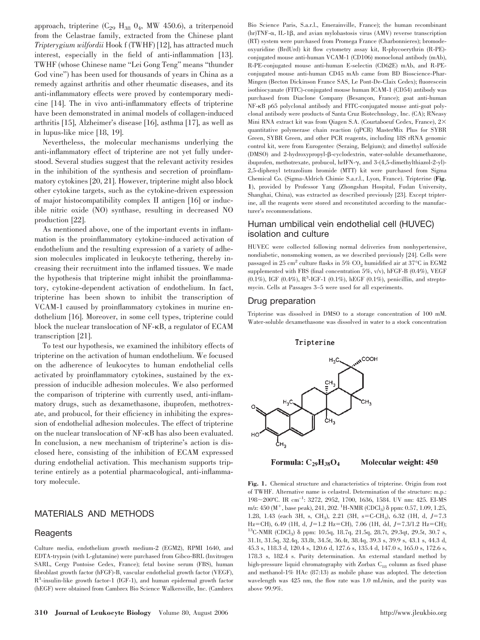approach, tripterine  $(C_{29} H_{38} O_4$ , MW 450.6), a triterpenoid from the Celastrae family, extracted from the Chinese plant *Tripterygium wilfordii* Hook f (TWHF) [12], has attracted much interest, especially in the field of anti-inflammation [13]. TWHF (whose Chinese name "Lei Gong Teng" means "thunder God vine") has been used for thousands of years in China as a remedy against arthritis and other rheumatic diseases, and its anti-inflammatory effects were proved by contemporary medicine [14]. The in vivo anti-inflammatory effects of tripterine have been demonstrated in animal models of collagen-induced arthritis [15], Alzheimer's disease [16], asthma [17], as well as in lupus-like mice [18, 19].

Nevertheless, the molecular mechanisms underlying the anti-inflammatory effect of tripterine are not yet fully understood. Several studies suggest that the relevant activity resides in the inhibition of the synthesis and secretion of proinflammatory cytokines [20, 21]. However, tripterine might also block other cytokine targets, such as the cytokine-driven expression of major histocompatibility complex II antigen [16] or inducible nitric oxide (NO) synthase, resulting in decreased NO production [22].

As mentioned above, one of the important events in inflammation is the proinflammatory cytokine-induced activation of endothelium and the resulting expression of a variety of adhesion molecules implicated in leukocyte tethering, thereby increasing their recruitment into the inflamed tissues. We made the hypothesis that tripterine might inhibit the proinflammatory, cytokine-dependent activation of endothelium. In fact, tripterine has been shown to inhibit the transcription of VCAM-1 caused by proinflammatory cytokines in murine endothelium [16]. Moreover, in some cell types, tripterine could block the nuclear translocation of  $NF- $\kappa$ B$ , a regulator of ECAM transcription [21].

To test our hypothesis, we examined the inhibitory effects of tripterine on the activation of human endothelium. We focused on the adherence of leukocytes to human endothelial cells activated by proinflammatory cytokines, sustained by the expression of inducible adhesion molecules. We also performed the comparison of tripterine with currently used, anti-inflammatory drugs, such as dexamethasone, ibuprofen, methotrexate, and probucol, for their efficiency in inhibiting the expression of endothelial adhesion molecules. The effect of tripterine on the nuclear translocation of NF- $\kappa$ B has also been evaluated. In conclusion, a new mechanism of tripterine's action is disclosed here, consisting of the inhibition of ECAM expressed during endothelial activation. This mechanism supports tripterine entirely as a potential pharmacological, anti-inflammatory molecule.

#### MATERIALS AND METHODS

#### **Reagents**

Culture media, endothelium growth medium-2 (EGM2), RPMI 1640, and EDTA-trypsin (with L-glutamine) were purchased from Gibco-BRL (Invitrogen SARL, Cergy Pontoise Cedex, France); fetal bovine serum (FBS), human fibroblast growth factor (hFGF)-B, vascular endothelial growth factor (VEGF), R3 -insulin-like growth factor-1 (IGF-1), and human epidermal growth factor (hEGF) were obtained from Cambrex Bio Science Walkersville, Inc. (Cambrex

Bio Science Paris, S.a.r.l., Emerainville, France); the human recombinant  $(hr)$ TNF- $\alpha$ , IL-1 $\beta$ , and avian mylobastosis virus  $(AMV)$  reverse transcription (RT) system were purchased from Promega France (Charbonnieres); bromodeoxyuridine (BrdUrd) kit flow cytometry assay kit, R-phycoerythrin (R-PE) conjugated mouse anti-human VCAM-1 (CD106) monoclonal antibody (mAb), R-PE-conjugated mouse anti-human E-selectin (CD62E) mAb, and R-PEconjugated mouse anti-human CD45 mAb came from BD Bioscience-Phar-Mingen (Becton Dickinson France SAS, Le Pont-De-Claix Cedex); fluorescein isothiocyanate (FITC)-conjugated mouse human ICAM-1 (CD54) antibody was purchased from Diaclone Company (Besançon, France); goat anti-human NF-KB p65 polyclonal antibody and FITC-conjugated mouse anti-goat polyclonal antibody were products of Santa Cruz Biotechnology, Inc. (CA); RNeasy Mini RNA extract kit was from Qiagen S.A. (Courtaboeuf Cedex, France), 2 quantitative polymerase chain reaction (qPCR) MasterMix Plus for SYBR Green, SYBR Green, and other PCR reagents, including 18S rRNA genomic control kit, were from Eurogentec (Seraing, Belgium); and dimethyl sulfoxide (DMSO) and 2-hydroxypropyl- $\beta$ -cyclodextrin, water-soluble dexamethazone, ibuprofen, methotrexate, probucol, hrIFN- $\gamma$ , and 3-(4,5-dimethylthiazol-2-yl)-2,5-diphenyl tetrazolium bromide (MTT) kit were purchased from Sigma Chemical Co. (Sigma-Aldrich Chimie S.a.r.l., Lyon, France). Tripterine (**Fig. 1**), provided by Professor Yang (Zhongshan Hospital, Fudan University, Shanghai, China), was extracted as described previously [23]. Except tripterine, all the reagents were stored and reconstituted according to the manufacturer's recommendations.

#### Human umbilical vein endothelial cell (HUVEC) isolation and culture

HUVEC were collected following normal deliveries from nonhypertensive, nondiabetic, nonsmoking women, as we described previously [24]. Cells were passaged in 25 cm<sup>2</sup> culture flasks in 5%  $CO<sub>2</sub>$  humidified air at 37°C in EGM2 supplemented with FBS (final concentration 5%, v/v), hFGF-B (0.4%), VEGF  $(0.1\%)$ , IGF  $(0.4\%)$ , R<sup>3</sup>-IGF-1  $(0.1\%)$ , hEGF  $(0.1\%)$ , penicillin, and streptomycin. Cells at Passages 3–5 were used for all experiments.

#### Drug preparation

Tripterine was dissolved in DMSO to a storage concentration of 100 mM. Water-soluble dexamethasone was dissolved in water to a stock concentration

#### Tripterine



Formula:  $C_{29}H_{38}O_4$ 

Molecular weight: 450

**Fig. 1.** Chemical structure and characteristics of tripterine. Origin from root of TWHF. Alternative name is celastrol. Determination of the structure: m.p.: 198200ºC. IR cm–1: 3272, 2952, 1700, 1636, 1584. UV nm: 425. EI-MS m/z: 450 (M<sup>+</sup>, base peak), 241, 202. <sup>1</sup>H-NMR (CDCl<sub>3</sub>)  $\delta$  ppm: 0.57, 1.09, 1.25, 1.28, 1.43 (each 3H, s, CH<sub>3</sub>), 2.21 (3H, s=C-CH<sub>3</sub>), 6.32 (1H, d, J=7.3 Hz=CH), 6.49 (1H, d, J=1.2 Hz=CH), 7.06 (1H, dd, J=7.3/1.2 Hz=CH);  $^{13}$ C-NMR (CDCl<sub>3</sub>)  $\delta$  ppm: 10.5q, 18.7q, 21.5q, 28.7t, 29.3qt, 29.5t, 30.7 s, 31.1t, 31.5q, 32.4q, 33.8t, 34.5t, 36.4t, 38.4q, 39.3 s, 39.9 s, 43.1 s, 44.3 d, 45.3 s, 118.3 d, 120.4 s, 120.6 d, 127.6 s, 135.4 d, 147.0 s, 165.0 s, 172.6 s, 178.3 s, 182.4 s. Purity determination. An external standard method by high-pressure liquid chromatography with Zorbax C<sub>18</sub> column as fixed phase and methanol-1% HAc (87:13) as mobile phase was adopted. The detection wavelength was 425 nm, the flow rate was 1.0 mL/min, and the purity was above 99.9%.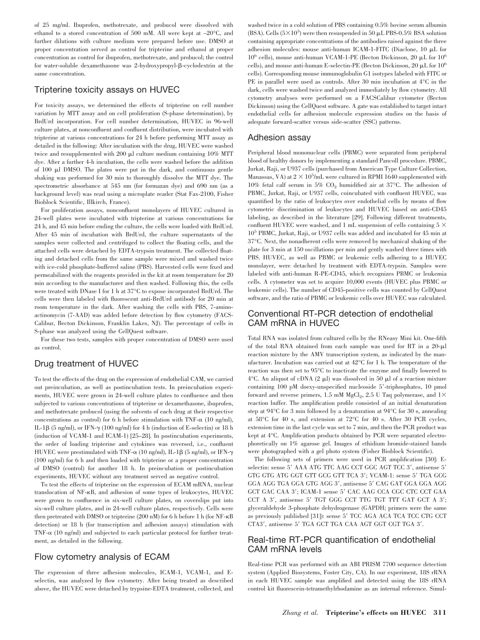of 25 mg/ml. Ibuprofen, methotrexate, and probucol were dissolved with ethanol to a stored concentration of 500 mM. All were kept at –20°C, and further dilutions with culture medium were prepared before use. DMSO at proper concentration served as control for tripterine and ethanol at proper concentration as control for ibuprofen, methotrexate, and probucol; the control for water-soluble dexamethasone was 2-hydroxypropyl- $\beta$ -cyclodextrin at the same concentration.

# Tripterine toxicity assays on HUVEC

For toxicity assays, we determined the effects of tripterine on cell number variation by MTT assay and on cell proliferation (S-phase determination), by BrdUrd incorporation. For cell number determination, HUVEC in 96-well culture plates, at nonconfluent and confluent distribution, were incubated with tripterine at various concentrations for 24 h before performing MTT assay as detailed in the following: After incubation with the drug, HUVEC were washed twice and resupplemented with 200 µl culture medium containing 10% MTT dye. After a further 4-h incubation, the cells were washed before the addition of 100 l DMSO. The plates were put in the dark, and continuous gentle shaking was performed for 30 min to thoroughly dissolve the MTT dye. The spectrometric absorbance at 545 nm (for formazan dye) and 690 nm (as a background level) was read using a microplate reader (Stat Fax-2100, Fisher Bioblock Scientific, Illkirch, France).

For proliferation assays, nonconfluent monolayers of HUVEC cultured in 24-well plates were incubated with tripterine at various concentrations for 24 h, and 45 min before ending the culture, the cells were loaded with BrdUrd. After 45 min of incubation with BrdUrd, the culture supernatants of the samples were collected and centrifuged to collect the floating cells, and the attached cells were detached by EDTA-trypsin treatment. The collected floating and detached cells from the same sample were mixed and washed twice with ice-cold phosphate-buffered saline (PBS). Harvested cells were fixed and permeabilized with the reagents provided in the kit at room temperature for 20 min according to the manufacturer and then washed. Following this, the cells were treated with DNase I for 1 h at 37°C to expose incorporated BrdUrd. The cells were then labeled with fluorescent anti-BrdUrd antibody for 20 min at room temperature in the dark. After washing the cells with PBS, 7-aminoactinomycin (7-AAD) was added before detection by flow cytometry (FACS-Calibur, Becton Dickinson, Franklin Lakes, NJ). The percentage of cells in S-phase was analyzed using the CellQuest software.

For these two tests, samples with proper concentration of DMSO were used as control.

## Drug treatment of HUVEC

To test the effects of the drug on the expression of endothelial CAM, we carried out preincubation, as well as postincubation tests. In preincubation experiments, HUVEC were grown in 24-well culture plates to confluence and then subjected to various concentrations of tripterine or dexamethasone, ibuprofen, and methotrexate probucol (using the solvents of each drug at their respective concentrations as control) for 6 h before stimulation with TNF- $\alpha$  (10 ng/ml), IL-1 $\beta$  (5 ng/ml), or IFN- $\gamma$  (100 ng/ml) for 4 h (induction of E-selectin) or 18 h (induction of VCAM-1 and ICAM-1) [25–28]. In postincubation experiments, the order of loading tripterine and cytokines was reversed, i.e., confluent HUVEC were prestimulated with TNF- $\alpha$  (10 ng/ml), IL-1 $\beta$  (5 ng/ml), or IFN- $\gamma$ (100 ng/ml) for 6 h and then loaded with tripterine or a proper concentration of DMSO (control) for another 18 h. In preincubation or postincubation experiments, HUVEC without any treatment served as negative control.

To test the effects of tripterine on the expression of ECAM mRNA, nuclear translocation of NF-KB, and adhesion of some types of leukocytes, HUVEC were grown to confluence in six-well culture plates, on coverslips put into six-well culture plates, and in 24-well culture plates, respectively. Cells were then pretreated with DMSO or tripterine (200 nM) for 6 h before 1 h (for  $NF$ - $\kappa B$ detection) or 18 h (for transcription and adhesion assays) stimulation with TNF- $\alpha$  (10 ng/ml) and subjected to each particular protocol for further treatment, as detailed in the following.

#### Flow cytometry analysis of ECAM

The expression of three adhesion molecules, ICAM-1, VCAM-1, and Eselectin, was analyzed by flow cytometry. After being treated as described above, the HUVEC were detached by trypsine-EDTA treatment, collected, and washed twice in a cold solution of PBS containing 0.5% bovine serum albumin (BSA). Cells  $(5\times10^5)$  were then resuspended in 50 µL PBS-0.5% BSA solution containing appropriate concentrations of the antibodies raised against the three adhesion molecules: mouse anti-human ICAM-1-FITC (Diaclone, 10 µL for 10<sup>6</sup> cells), mouse anti-human VCAM-1-PE (Becton Dickinson, 20 µL for 10<sup>6</sup> cells), and mouse anti-human E-selectin-PE (Becton Dickinson, 20  $\mu$ L for  $10^6$ cells). Corresponding mouse immunoglobulin G1 isotypes labeled with FITC or PE in parallel were used as controls. After 30 min incubation at 4°C in the dark, cells were washed twice and analyzed immediately by flow cytometry. All cytometry analyses were performed on a FACSCalibur cytometer (Becton Dickinson) using the CellQuest software. A gate was established to target intact endothelial cells for adhesion molecule expression studies on the basis of adequate forward-scatter versus side-scatter (SSC) patterns.

#### Adhesion assay

Peripheral blood mononuclear cells (PBMC) were separated from peripheral blood of healthy donors by implementing a standard Pancoll procedure. PBMC, Jurkat, Raji, or U937 cells (purchased from American Type Culture Collection, Manassas, VA) at  $2 \times 10^5$ /mL were cultured in RPMI 1640 supplemented with 10% fetal calf serum in 5%  $CO<sub>2</sub>$  humidified air at 37°C. The adhesion of PBMC, Jurkat, Raji, or U937 cells, coincubated with confluent HUVEC, was quantified by the ratio of leukocytes over endothelial cells by means of flow cytometric discrimination of leukocytes and HUVEC based on anti-CD45 labeling, as described in the literature [29]. Following different treatments, confluent HUVEC were washed, and 1 mL suspension of cells containing  $5 \times$ 10<sup>5</sup> PBMC, Jurkat, Raji, or U937 cells was added and incubated for 45 min at 37°C. Next, the nonadherent cells were removed by mechanical shaking of the plate for 3 min at 150 oscillations per min and gently washed three times with PBS. HUVEC, as well as PBMC or leukemic cells adhering to a HUVEC monolayer, were detached by treatment with EDTA-trypsin. Samples were labeled with anti-human R-PE-CD45, which recognizes PBMC or leukemia cells. A cytometer was set to acquire 10,000 events (HUVEC plus PBMC or leukemic cells). The number of CD45-positive cells was counted by CellQuest software, and the ratio of PBMC or leukemic cells over HUVEC was calculated.

## Conventional RT-PCR detection of endothelial CAM mRNA in HUVEC

Total RNA was isolated from cultured cells by the RNeasy Mini kit. One-fifth of the total RNA obtained from each sample was used for RT in a 20- l reaction mixture by the AMV transcription system, as indicated by the manufacturer. Incubation was carried out at 42°C for 1 h. The temperature of the reaction was then set to 95°C to inactivate the enzyme and finally lowered to  $4^{\circ}$ C. An aliquot of cDNA  $(2 \mu I)$  was dissolved in 50  $\mu I$  of a reaction mixture containing 100 pM doexy-unspecified nucleoside 5'-triphosphates, 10 pmol forward and reverse primers, 1.5 mM  $MgCl<sub>2</sub>$ , 2.5 U Taq polymerase, and  $1\times$ reaction buffer. The amplification profile consisted of an initial denaturation step at 94°C for 3 min followed by a denaturation at 94°C for 30 s, annealing at 58°C for 40 s, and extension at 72°C for 40 s. After 30 PCR cycles, extension time in the last cycle was set to 7 min, and then the PCR product was kept at 4°C. Amplification products obtained by PCR were separated electrophoretically on 1% agarose gel. Images of ethidium bromide-stained bands were photographed with a gel photo system (Fisher Bioblock Scientific).

The following sets of primers were used in PCR amplification [30]: Eselectin: sense 5' AAA ATG TTC AAG CCT GGC AGT TCC 3', antisense 5' GTG GTG ATG GGT GTT GCG GTT TCA 3'; VCAM-1: sense 5' TGA GCG GGA AGG TGA GGA GTG AGG 3', antisense 5' CAG GAT GGA GGA AGG GCT GAC CAA 3'; ICAM-1 sense 5' CAC AAG CCA CGC CTC CCT GAA CCT A 3', antisense 5' TGT GGG CCT TTG TGT TTT GAT GCT A 3'; glyceraldehyde 3-phosphate dehydrogenase (GAPDH; primers were the same as previously published [31]): sense 5' TCC AGA ACA TCA TCC CTG CCT CTA3', antisense 5' TGA GCT TGA CAA AGT GGT CGT TGA 3'.

#### Real-time RT-PCR quantification of endothelial CAM mRNA levels

Real-time PCR was performed with an ABI PRISM 7700 sequence detection system (Applied Biosystems, Foster City, CA). In our experiment, 18S rRNA in each HUVEC sample was amplified and detected using the 18S rRNA control kit fluorescein-tetramethylrhodamine as an internal reference. Simul-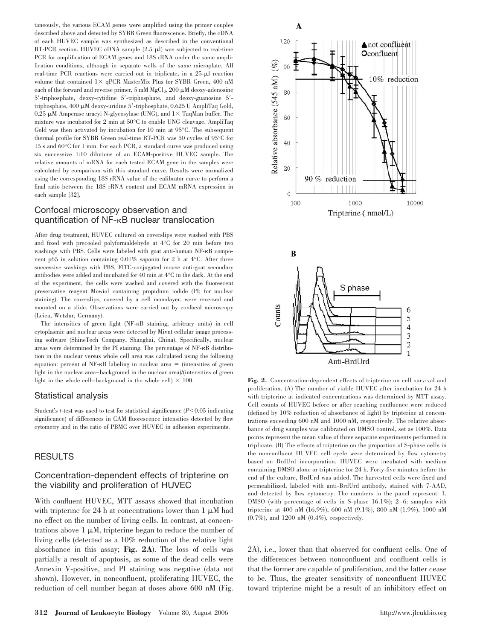taneously, the various ECAM genes were amplified using the primer couples described above and detected by SYBR Green fluorescence. Briefly, the cDNA of each HUVEC sample was synthesized as described in the conventional RT-PCR section. HUVEC cDNA sample (2.5 µl) was subjected to real-time PCR for amplification of ECAM genes and 18S rRNA under the same amplification conditions, although in separate wells of the same microplate. All real-time PCR reactions were carried out in triplicate, in a 25-µl reaction volume that contained  $1 \times$  qPCR MasterMix Plus for SYBR Green, 400 nM each of the forward and reverse primer, 5 mM  $\rm{MgCl}_{2}, 200~\mu M$  deoxy-adenosine 5'-triphosphate, deoxy-cytidine 5'-triphosphate, and deoxy-guanosine 5'triphosphate, 400 µM deoxy-uridine 5'-triphosphate, 0.625 U AmpliTaq Gold,  $0.25 \mu M$  Amperase uracyl N-glycosylase (UNG), and  $1 \times$  TaqMan buffer. The mixture was incubated for 2 min at 50°C to enable UNG cleavage. AmpliTaq Gold was then activated by incubation for 10 min at 95°C. The subsequent thermal profile for SYBR Green real-time RT-PCR was 50 cycles of 95°C for 15 s and 60°C for 1 min. For each PCR, a standard curve was produced using six successive 1:10 dilutions of an ECAM-positive HUVEC sample. The relative amounts of mRNA for each tested ECAM gene in the samples were calculated by comparison with this standard curve. Results were normalized using the corresponding 18S rRNA value of the calibrator curve to perform a final ratio between the 18S rRNA content and ECAM mRNA expression in each sample [32].

# Confocal microscopy observation and quantification of NF-<sub>K</sub>B nuclear translocation

After drug treatment, HUVEC cultured on coverslips were washed with PBS and fixed with precooled polyformaldehyde at 4°C for 20 min before two washings with PBS. Cells were labeled with goat anti-human NF- $\kappa$ B component p65 in solution containing 0.01% saponin for 2 h at 4°C. After three successive washings with PBS, FITC-conjugated mouse anti-goat secondary antibodies were added and incubated for 40 min at 4°C in the dark. At the end of the experiment, the cells were washed and covered with the fluorescent preservative reagent Mowiol containing propidium iodide (PI; for nuclear staining). The coverslips, covered by a cell monolayer, were reversed and mounted on a slide. Observations were carried out by confocal microscopy (Leica, Wetzlar, Germany).

The intensities of green light (NF-KB staining, arbitrary units) in cell cytoplasmic and nuclear areas were detected by Mivnt cellular image processing software (ShineTech Company, Shanghai, China). Specifically, nuclear areas were determined by the PI staining. The percentage of NF-KB distribution in the nuclear versus whole cell area was calculated using the following equation: percent of  $NF-\kappa B$  labeling in nuclear area  $=$  (intensities of green light in the nuclear area–background in the nuclear area)/(intensities of green light in the whole cell–background in the whole cell)  $\times$  100.

## Statistical analysis

Student's  $t$ -test was used to test for statistical significance ( $P < 0.05$  indicating significance) of differences in CAM fluorescence intensities detected by flow cytometry and in the ratio of PBMC over HUVEC in adhesion experiments.

## RESULTS

# Concentration-dependent effects of tripterine on the viability and proliferation of HUVEC

With confluent HUVEC, MTT assays showed that incubation with tripterine for 24 h at concentrations lower than  $1 \mu M$  had no effect on the number of living cells. In contrast, at concentrations above 1 M, tripterine began to reduce the number of living cells (detected as a 10% reduction of the relative light absorbance in this assay; **Fig. 2A**). The loss of cells was partially a result of apoptosis, as some of the dead cells were Annexin V-positive, and PI staining was negative (data not shown). However, in nonconfluent, proliferating HUVEC, the reduction of cell number began at doses above 600 nM (Fig.



**Fig. 2.** Concentration-dependent effects of tripterine on cell survival and proliferation. (A) The number of viable HUVEC after incubation for 24 h with tripterine at indicated concentrations was determined by MTT assay. Cell counts of HUVEC before or after reaching confluence were reduced (defined by 10% reduction of absorbance of light) by tripterine at concentrations exceeding 600 nM and 1000 nM, respectively. The relative absorbance of drug samples was calibrated on DMSO control, set as 100%. Data points represent the mean value of three separate experiments performed in triplicate. (B) The effects of tripterine on the proportion of S-phase cells in the nonconfluent HUVEC cell cycle were determined by flow cytometry based on BrdUrd incorporation. HUVEC were incubated with medium containing DMSO alone or tripterine for 24 h. Forty-five minutes before the end of the culture, BrdUrd was added. The harvested cells were fixed and permeabilized, labeled with anti-BrdUrd antibody, stained with 7-AAD, and detected by flow cytometry. The numbers in the panel represent: 1, DMSO (with percentage of cells in S-phase 16.1%); 2–6: samples with tripterine at 400 nM (16.9%), 600 nM (9.1%), 800 nM (1.9%), 1000 nM (0.7%), and 1200 nM (0.4%), respectively.

2A), i.e., lower than that observed for confluent cells. One of the differences between nonconfluent and confluent cells is that the former are capable of proliferation, and the latter cease to be. Thus, the greater sensitivity of nonconfluent HUVEC toward tripterine might be a result of an inhibitory effect on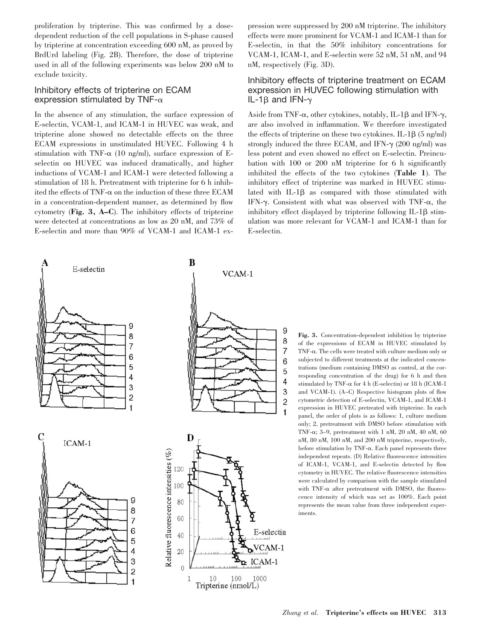proliferation by tripterine. This was confirmed by a dosedependent reduction of the cell populations in S-phase caused by tripterine at concentration exceeding 600 nM, as proved by BrdUrd labeling (Fig. 2B). Therefore, the dose of tripterine used in all of the following experiments was below 200 nM to exclude toxicity.

## Inhibitory effects of tripterine on ECAM expression stimulated by TNF- $\alpha$

In the absence of any stimulation, the surface expression of E-selectin, VCAM-1, and ICAM-1 in HUVEC was weak, and tripterine alone showed no detectable effects on the three ECAM expressions in unstimulated HUVEC. Following 4 h stimulation with TNF- $\alpha$  (10 ng/ml), surface expression of Eselectin on HUVEC was induced dramatically, and higher inductions of VCAM-1 and ICAM-1 were detected following a stimulation of 18 h. Pretreatment with tripterine for 6 h inhibited the effects of TNF- $\alpha$  on the induction of these three ECAM in a concentration-dependent manner, as determined by flow cytometry (**Fig. 3, A–C**). The inhibitory effects of tripterine were detected at concentrations as low as 20 nM, and 73% of E-selectin and more than 90% of VCAM-1 and ICAM-1 expression were suppressed by 200 nM tripterine. The inhibitory effects were more prominent for VCAM-1 and ICAM-1 than for E-selectin, in that the 50% inhibitory concentrations for VCAM-1, ICAM-1, and E-selectin were 52 nM, 51 nM, and 94 nM, respectively (Fig. 3D).

# Inhibitory effects of tripterine treatment on ECAM expression in HUVEC following stimulation with IL-1 $\beta$  and IFN- $\gamma$

Aside from TNF- $\alpha$ , other cytokines, notably, IL-1 $\beta$  and IFN- $\gamma$ , are also involved in inflammation. We therefore investigated the effects of tripterine on these two cytokines. IL-1 $\beta$  (5 ng/ml) strongly induced the three ECAM, and IFN- $\gamma$  (200 ng/ml) was less potent and even showed no effect on E-selectin. Preincubation with 100 or 200 nM tripterine for 6 h significantly inhibited the effects of the two cytokines (**Table 1**). The inhibitory effect of tripterine was marked in HUVEC stimulated with IL- $1\beta$  as compared with those stimulated with IFN- $\gamma$ . Consistent with what was observed with TNF- $\alpha$ , the inhibitory effect displayed by tripterine following IL-1 $\beta$  stimulation was more relevant for VCAM-1 and ICAM-1 than for E-selectin.



**Fig. 3.** Concentration-dependent inhibition by tripterine of the expressions of ECAM in HUVEC stimulated by TNF- $\alpha$ . The cells were treated with culture medium only or subjected to different treatments at the indicated concentrations (medium containing DMSO as control, at the corresponding concentration of the drug) for 6 h and then stimulated by TNF- $\alpha$  for 4 h (E-selectin) or 18 h (ICAM-1 and VCAM-1). (A–C) Respective histogram plots of flow cytometric detection of E-selectin, VCAM-1, and ICAM-1 expression in HUVEC pretreated with tripterine. In each panel, the order of plots is as follows: 1, culture medium only; 2, pretreatment with DMSO before stimulation with TNF- $\alpha$ ; 3–9, pretreatment with 1 nM, 20 nM, 40 nM, 60 nM, 80 nM, 100 nM, and 200 nM tripterine, respectively, before stimulation by TNF- $\alpha$ . Each panel represents three independent repeats. (D) Relative fluorescence intensities of ICAM-1, VCAM-1, and E-selectin detected by flow cytometry in HUVEC. The relative fluorescence intensities were calculated by comparison with the sample stimulated with TNF- $\alpha$  after pretreatment with DMSO, the fluorescence intensity of which was set as 100%. Each point represents the mean value from three independent experiments.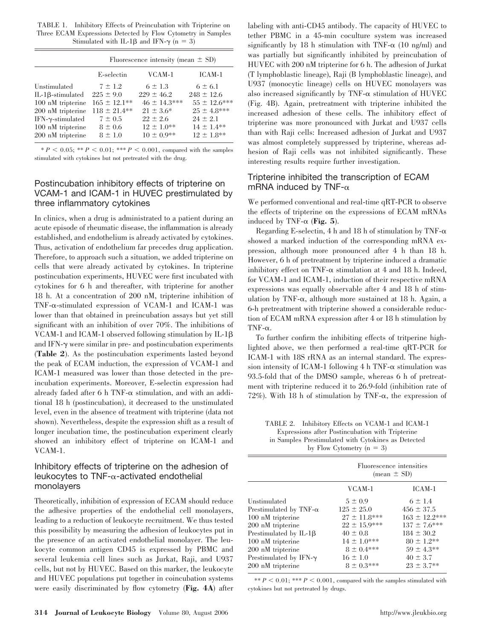TABLE 1. Inhibitory Effects of Preincubation with Tripterine on Three ECAM Expressions Detected by Flow Cytometry in Samples Stimulated with IL-1 $\beta$  and IFN- $\gamma$  (n = 3)

|                           | Fluorescence intensity (mean $\pm$ SD) |                   |                  |
|---------------------------|----------------------------------------|-------------------|------------------|
|                           | E-selectin                             | VCAM-1            | ICAM-1           |
| Unstimulated              | $7 \pm 1.2$                            | $6 \pm 1.3$       | $6 \pm 6.1$      |
| IL-1 $\beta$ -stimulated  | $225 \pm 9.0$                          | $229 \pm 46.2$    | $248 \pm 12.6$   |
| 100 nM tripterine         | $165 \pm 12.1**$                       | $46 \pm 14.3***$  | $55 \pm 12.6***$ |
| 200 nM tripterine         | $118 \pm 21.4**$                       | $21 \pm 3.6^*$    | $25 \pm 4.8$ *** |
| IFN- $\gamma$ -stimulated | $7 \pm 0.5$                            | $22 \pm 2.6$      | $24 \pm 2.1$     |
| 100 nM tripterine         | $8 \pm 0.6$                            | $12 \pm 1.0^{**}$ | $14 \pm 1.4**$   |
| 200 nM tripterine         | $8 \pm 1.0$                            | $10 \pm 0.9**$    | $12 \pm 1.8**$   |

 $* P < 0.05$ ;  $* P < 0.01$ ;  $* P < 0.001$ , compared with the samples stimulated with cytokines but not pretreated with the drug.

# Postincubation inhibitory effects of tripterine on VCAM-1 and ICAM-1 in HUVEC prestimulated by three inflammatory cytokines

In clinics, when a drug is administrated to a patient during an acute episode of rheumatic disease, the inflammation is already established, and endothelium is already activated by cytokines. Thus, activation of endothelium far precedes drug application. Therefore, to approach such a situation, we added tripterine on cells that were already activated by cytokines. In tripterine postincubation experiments, HUVEC were first incubated with cytokines for 6 h and thereafter, with tripterine for another 18 h. At a concentration of 200 nM, tripterine inhibition of  $TNF-\alpha$ -stimulated expression of VCAM-1 and ICAM-1 was lower than that obtained in preincubation assays but yet still significant with an inhibition of over 70%. The inhibitions of VCAM-1 and ICAM-1 observed following stimulation by IL-1 $\beta$ and IFN- $\gamma$  were similar in pre- and postincubation experiments (**Table 2**). As the postincubation experiments lasted beyond the peak of ECAM induction, the expression of VCAM-1 and ICAM-1 measured was lower than those detected in the preincubation experiments. Moreover, E-selectin expression had already faded after 6 h TNF- $\alpha$  stimulation, and with an additional 18 h (postincubation), it decreased to the unstimulated level, even in the absence of treatment with tripterine (data not shown). Nevertheless, despite the expression shift as a result of longer incubation time, the postincubation experiment clearly showed an inhibitory effect of tripterine on ICAM-1 and VCAM-1.

# Inhibitory effects of tripterine on the adhesion of leukocytes to TNF- $\alpha$ -activated endothelial monolayers

Theoretically, inhibition of expression of ECAM should reduce the adhesive properties of the endothelial cell monolayers, leading to a reduction of leukocyte recruitment. We thus tested this possibility by measuring the adhesion of leukocytes put in the presence of an activated endothelial monolayer. The leukocyte common antigen CD45 is expressed by PBMC and several leukemia cell lines such as Jurkat, Raji, and U937 cells, but not by HUVEC. Based on this marker, the leukocyte and HUVEC populations put together in coincubation systems were easily discriminated by flow cytometry (**Fig. 4A**) after labeling with anti-CD45 antibody. The capacity of HUVEC to tether PBMC in a 45-min coculture system was increased significantly by 18 h stimulation with TNF- $\alpha$  (10 ng/ml) and was partially but significantly inhibited by preincubation of HUVEC with 200 nM tripterine for 6 h. The adhesion of Jurkat (T lymphoblastic lineage), Raji (B lymphoblastic lineage), and U937 (monocytic lineage) cells on HUVEC monolayers was also increased significantly by TNF- $\alpha$  stimulation of HUVEC (Fig. 4B). Again, pretreatment with tripterine inhibited the increased adhesion of these cells. The inhibitory effect of tripterine was more pronounced with Jurkat and U937 cells than with Raji cells: Increased adhesion of Jurkat and U937 was almost completely suppressed by tripterine, whereas adhesion of Raji cells was not inhibited significantly. These interesting results require further investigation.

# Tripterine inhibited the transcription of ECAM mRNA induced by TNF- $\alpha$

We performed conventional and real-time qRT-PCR to observe the effects of tripterine on the expressions of ECAM mRNAs induced by TNF- $\alpha$  (Fig. 5).

Regarding E-selectin, 4 h and 18 h of stimulation by TNF- $\alpha$ showed a marked induction of the corresponding mRNA expression, although more pronounced after 4 h than 18 h. However, 6 h of pretreatment by tripterine induced a dramatic inhibitory effect on TNF- $\alpha$  stimulation at 4 and 18 h. Indeed, for VCAM-1 and ICAM-1, induction of their respective mRNA expressions was equally observable after 4 and 18 h of stimulation by TNF- $\alpha$ , although more sustained at 18 h. Again, a 6-h pretreatment with tripterine showed a considerable reduction of ECAM mRNA expression after 4 or 18 h stimulation by TNF- $\alpha$ .

To further confirm the inhibiting effects of tritperine highlighted above, we then performed a real-time qRT-PCR for ICAM-1 with 18S rRNA as an internal standard. The expression intensity of ICAM-1 following  $4 h$  TNF- $\alpha$  stimulation was 93.5-fold that of the DMSO sample, whereas 6 h of pretreatment with tripterine reduced it to 26.9-fold (inhibition rate of 72%). With 18 h of stimulation by TNF- $\alpha$ , the expression of

TABLE 2. Inhibitory Effects on VCAM-1 and ICAM-1 Expressions after Postincubation with Tripterine in Samples Prestimulated with Cytokines as Detected by Flow Cytometry  $(n = 3)$ 

| Fluorescence intensities<br>$(\text{mean} \pm \text{SD})$ |                    |
|-----------------------------------------------------------|--------------------|
| VCAM-1                                                    | ICAM-1             |
| $5 \pm 0.9$                                               | $6 \pm 1.4$        |
| $125 \pm 25.0$                                            | $456 \pm 37.5$     |
| $27 \pm 11.8***$                                          | $163 \pm 12.2$ *** |
| $22 \pm 15.9***$                                          | $137 \pm 7.6***$   |
| $40 \pm 0.8$                                              | $184 \pm 30.2$     |
| $14 \pm 1.0***$                                           | $80 \pm 1.2$ **    |
| $8 \pm 0.4***$                                            | $59 \pm 4.3$ **    |
| $16 \pm 1.0$                                              | $40 \pm 3.7$       |
| $8 \pm 0.3$ ***                                           | $23 \pm 3.7**$     |
|                                                           |                    |

\*\*  $P < 0.01$ ; \*\*\*  $P < 0.001$ , compared with the samples stimulated with cytokines but not pretreated by drugs.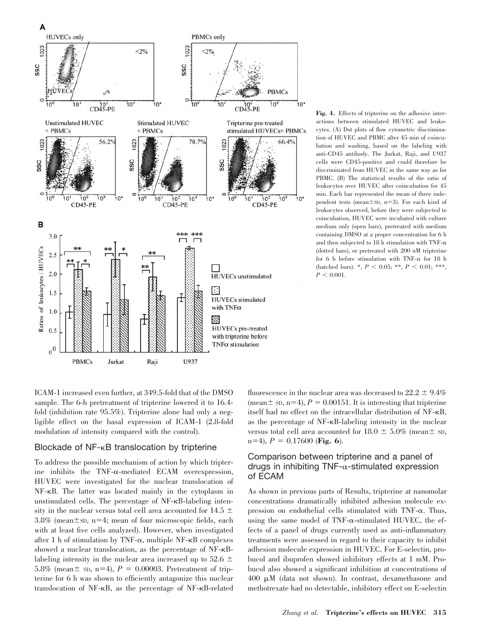

**Fig. 4.** Effects of tripterine on the adhesive interactions between stimulated HUVEC and leukocytes. (A) Dot plots of flow cytometric discrimination of HUVEC and PBMC after 45 min of coincubation and washing, based on the labeling with anti-CD45 antibody. The Jurkat, Raji, and U937 cells were CD45-positive and could therefore be discriminated from HUVEC in the same way as for PBMC. (B) The statistical results of the ratio of leukocytes over HUVEC after coincubation for 45 min. Each bar represented the mean of three independent tests (mean $\pm$ SD, n=3). For each kind of leukocytes observed, before they were subjected to coincubation, HUVEC were incubated with culture medium only (open bars), pretreated with medium containing DMSO at a proper concentration for 6 h and then subjected to 18 h stimulation with TNF- $\alpha$ (dotted bars), or pretreated with 200 nM tripterine for 6 h before stimulation with TNF- $\alpha$  for 18 h (hatched bars).  $\ast$ ,  $P < 0.05$ ;  $\ast \ast$ ,  $P < 0.01$ ;  $\ast \ast \ast$ ,  $P < 0.001$ .

ICAM-1 increased even further, at 349.5-fold that of the DMSO sample. The 6-h pretreatment of tripterine lowered it to 16.4 fold (inhibition rate 95.5%). Tripterine alone had only a negligible effect on the basal expression of ICAM-1 (2.8-fold modulation of intensity compared with the control).

#### Blockade of  $NF$ - $\kappa$ B translocation by tripterine

To address the possible mechanism of action by which tripterine inhibits the  $TNF$ - $\alpha$ -mediated ECAM overexpression, HUVEC were investigated for the nuclear translocation of  $NF-\kappa B$ . The latter was located mainly in the cytoplasm in unstimulated cells. The percentage of NF- $\kappa$ B-labeling intensity in the nuclear versus total cell area accounted for 14.5  $\pm$  $3.8\%$  (mean  $\pm$  sp, n=4; mean of four microscopic fields, each with at least five cells analyzed). However, when investigated after 1 h of stimulation by TNF- $\alpha$ , multiple NF- $\kappa$ B complexes showed a nuclear translocation, as the percentage of NF- $\kappa$ Blabeling intensity in the nuclear area increased up to 52.6  $\pm$ 5.8% (mean $\pm$  sp, n=4),  $P = 0.00003$ . Pretreatment of tripterine for 6 h was shown to efficiently antagonize this nuclear translocation of  $NF-\kappa B$ , as the percentage of  $NF-\kappa B$ -related fluorescence in the nuclear area was decreased to  $22.2 \pm 9.4\%$ (mean  $\pm$  sp, n=4),  $P = 0.00151$ . It is interesting that tripterine itself had no effect on the intracellular distribution of NF- $\kappa B$ , as the percentage of NF- $\kappa$ B-labeling intensity in the nuclear versus total cell area accounted for 18.0  $\pm$  5.0% (mean  $\pm$  sp,  $n=4$ ),  $P = 0.17600$  (**Fig. 6**).

# Comparison between tripterine and a panel of drugs in inhibiting TNF- $\alpha$ -stimulated expression of ECAM

As shown in previous parts of Results, tripterine at nanomolar concentrations dramatically inhibited adhesion molecule expression on endothelial cells stimulated with  $TNF-\alpha$ . Thus, using the same model of TNF- $\alpha$ -stimulated HUVEC, the effects of a panel of drugs currently used as anti-inflammatory treatments were assessed in regard to their capacity to inhibit adhesion molecule expression in HUVEC. For E-selectin, probucol and ibuprofen showed inhibitory effects at 1 mM. Probucol also showed a significant inhibition at concentrations of 400 M (data not shown). In contrast, dexamethasone and methotrexate had no detectable, inhibitory effect on E-selectin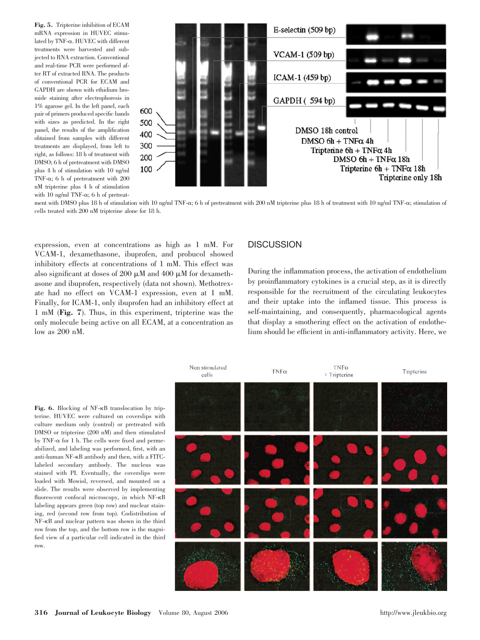**Fig. 5.** Tripterine inhibition of ECAM mRNA expression in HUVEC stimulated by TNF- $\alpha$ . HUVEC with different treatments were harvested and subjected to RNA extraction. Conventional and real-time PCR were performed after RT of extracted RNA. The products of conventional PCR for ECAM and GAPDH are shown with ethidium bromide staining after electrophoresis in 1% agarose gel. In the left panel, each pair of primers produced specific bands with sizes as predicted. In the right panel, the results of the amplification obtained from samples with different treatments are displayed, from left to right, as follows: 18 h of treatment with DMSO; 6 h of pretreatment with DMSO plus 4 h of stimulation with 10 ng/ml TNF- $\alpha$ ; 6 h of pretreatment with 200 nM tripterine plus 4 h of stimulation with 10 ng/ml TNF- $\alpha$ ; 6 h of pretreat-



ment with DMSO plus 18 h of stimulation with 10 ng/ml TNF- $\alpha$ ; 6 h of pretreatment with 200 nM tripterine plus 18 h of treatment with 10 ng/ml TNF- $\alpha$ ; stimulation of cells treated with 200 nM tripterine alone for 18 h.

expression, even at concentrations as high as 1 mM. For VCAM-1, dexamethasone, ibuprofen, and probucol showed inhibitory effects at concentrations of 1 mM. This effect was also significant at doses of 200  $\mu$ M and 400  $\mu$ M for dexamethasone and ibuprofen, respectively (data not shown). Methotrexate had no effect on VCAM-1 expression, even at 1 mM. Finally, for ICAM-1, only ibuprofen had an inhibitory effect at 1 mM (**Fig. 7**). Thus, in this experiment, tripterine was the only molecule being active on all ECAM, at a concentration as low as 200 nM.

# **DISCUSSION**

During the inflammation process, the activation of endothelium by proinflammatory cytokines is a crucial step, as it is directly responsible for the recruitment of the circulating leukocytes and their uptake into the inflamed tissue. This process is self-maintaining, and consequently, pharmacological agents that display a smothering effect on the activation of endothelium should be efficient in anti-inflammatory activity. Here, we

Fig. 6. Blocking of NF-KB translocation by tripterine. HUVEC were cultured on coverslips with culture medium only (control) or pretreated with DMSO or tripterine (200 nM) and then stimulated by TNF- $\alpha$  for 1 h. The cells were fixed and permeabilized, and labeling was performed, first, with an anti-human  $NF$ - $\kappa$ B antibody and then, with a FITClabeled secondary antibody. The nucleus was stained with PI. Eventually, the coverslips were loaded with Mowiol, reversed, and mounted on a slide. The results were observed by implementing fluorescent confocal microscopy, in which NF- $\kappa$ B labeling appears green (top row) and nuclear staining, red (second row from top). Codistribution of NF-KB and nuclear pattern was shown in the third row from the top, and the bottom row is the magnified view of a particular cell indicated in the third row.

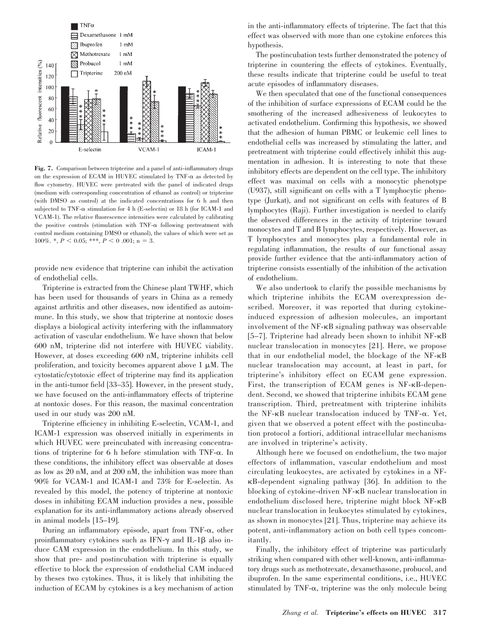

**Fig. 7.** Comparison between tripterine and a panel of anti-inflammatory drugs on the expression of ECAM in HUVEC stimulated by TNF- $\alpha$  as detected by flow cytometry. HUVEC were pretreated with the panel of indicated drugs (medium with corresponding concentration of ethanol as control) or tripterine (with DMSO as control) at the indicated concentrations for 6 h and then subjected to TNF- $\alpha$  stimulation for 4 h (E-selectin) or 18 h (for ICAM-1 and VCAM-1). The relative fluorescence intensities were calculated by calibrating the positive controls (stimulation with TNF- $\alpha$  following pretreatment with control medium containing DMSO or ethanol), the values of which were set as  $100\%, * , P < 0.05; ** , P < 0.001; n = 3.$ 

provide new evidence that tripterine can inhibit the activation of endothelial cells.

Tripterine is extracted from the Chinese plant TWHF, which has been used for thousands of years in China as a remedy against arthritis and other diseases, now identified as autoimmune. In this study, we show that tripterine at nontoxic doses displays a biological activity interfering with the inflammatory activation of vascular endothelium. We have shown that below 600 nM, tripterine did not interfere with HUVEC viability. However, at doses exceeding 600 nM, tripterine inhibits cell proliferation, and toxicity becomes apparent above 1  $\mu$ M. The cytostatic/cytotoxic effect of tripterine may find its application in the anti-tumor field [33–35]. However, in the present study, we have focused on the anti-inflammatory effects of tripterine at nontoxic doses. For this reason, the maximal concentration used in our study was 200 nM.

Tripterine efficiency in inhibiting E-selectin, VCAM-1, and ICAM-1 expression was observed initially in experiments in which HUVEC were preincubated with increasing concentrations of tripterine for 6 h before stimulation with TNF- $\alpha$ . In these conditions, the inhibitory effect was observable at doses as low as 20 nM, and at 200 nM, the inhibition was more than 90% for VCAM-1 and ICAM-1 and 73% for E-selectin. As revealed by this model, the potency of tripterine at nontoxic doses in inhibiting ECAM induction provides a new, possible explanation for its anti-inflammatory actions already observed in animal models [15–19].

During an inflammatory episode, apart from TNF- $\alpha$ , other proinflammatory cytokines such as IFN- $\gamma$  and IL-1 $\beta$  also induce CAM expression in the endothelium. In this study, we show that pre- and postincubation with tripterine is equally effective to block the expression of endothelial CAM induced by theses two cytokines. Thus, it is likely that inhibiting the induction of ECAM by cytokines is a key mechanism of action in the anti-inflammatory effects of tripterine. The fact that this effect was observed with more than one cytokine enforces this hypothesis.

The postincubation tests further demonstrated the potency of tripterine in countering the effects of cytokines. Eventually, these results indicate that tripterine could be useful to treat acute episodes of inflammatory diseases.

We then speculated that one of the functional consequences of the inhibition of surface expressions of ECAM could be the smothering of the increased adhesiveness of leukocytes to activated endothelium. Confirming this hypothesis, we showed that the adhesion of human PBMC or leukemic cell lines to endothelial cells was increased by stimulating the latter, and pretreatment with tripterine could effectively inhibit this augmentation in adhesion. It is interesting to note that these inhibitory effects are dependent on the cell type. The inhibitory effect was maximal on cells with a monocytic phenotype (U937), still significant on cells with a T lymphocytic phenotype (Jurkat), and not significant on cells with features of B lymphocytes (Raji). Further investigation is needed to clarify the observed differences in the activity of tripterine toward monocytes and T and B lymphocytes, respectively. However, as T lymphocytes and monocytes play a fundamental role in regulating inflammation, the results of our functional assay provide further evidence that the anti-inflammatory action of tripterine consists essentially of the inhibition of the activation of endothelium.

We also undertook to clarify the possible mechanisms by which tripterine inhibits the ECAM overexpression described. Moreover, it was reported that during cytokineinduced expression of adhesion molecules, an important involvement of the NF-KB signaling pathway was observable [5–7]. Tripterine had already been shown to inhibit  $NF-\kappa B$ nuclear translocation in monocytes [21]. Here, we propose that in our endothelial model, the blockage of the  $NF-\kappa B$ nuclear translocation may account, at least in part, for tripterine's inhibitory effect on ECAM gene expression. First, the transcription of ECAM genes is NF- $\kappa$ B-dependent. Second, we showed that tripterine inhibits ECAM gene transcription. Third, pretreatment with tripterine inhibits the NF- $\kappa$ B nuclear translocation induced by TNF- $\alpha$ . Yet, given that we observed a potent effect with the postincubation protocol a fortiori, additional intracellular mechanisms are involved in tripterine's activity.

Although here we focused on endothelium, the two major effectors of inflammation, vascular endothelium and most circulating leukocytes, are activated by cytokines in a NF- B-dependent signaling pathway [36]. In addition to the blocking of cytokine-driven NF-KB nuclear translocation in endothelium disclosed here, tripterine might block NF-KB nuclear translocation in leukocytes stimulated by cytokines, as shown in monocytes [21]. Thus, tripterine may achieve its potent, anti-inflammatory action on both cell types concomitantly.

Finally, the inhibitory effect of tripterine was particularly striking when compared with other well-known, anti-inflammatory drugs such as methotrexate, dexamethasone, probucol, and ibuprofen. In the same experimental conditions, i.e., HUVEC stimulated by TNF- $\alpha$ , tripterine was the only molecule being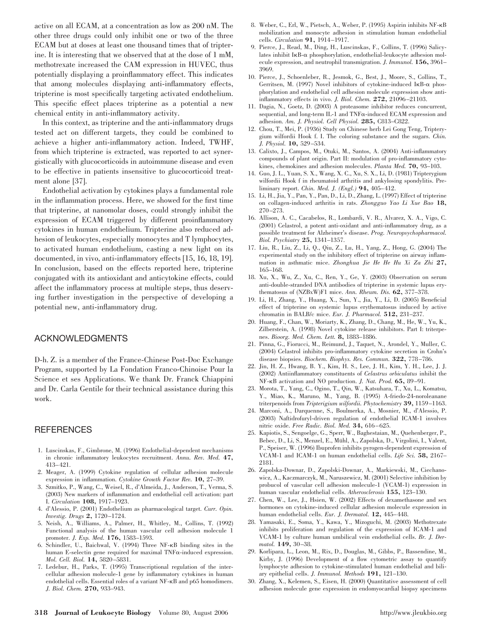active on all ECAM, at a concentration as low as 200 nM. The other three drugs could only inhibit one or two of the three ECAM but at doses at least one thousand times that of tripterine. It is interesting that we observed that at the dose of 1 mM, methotrexate increased the CAM expression in HUVEC, thus potentially displaying a proinflammatory effect. This indicates that among molecules displaying anti-inflammatory effects, tripterine is most specifically targeting activated endothelium. This specific effect places tripterine as a potential a new chemical entity in anti-inflammatory activity.

In this context, as tripterine and the anti-inflammatory drugs tested act on different targets, they could be combined to achieve a higher anti-inflammatory action. Indeed, TWHF, from which tripterine is extracted, was reported to act synergistically with glucocorticoids in autoimmune disease and even to be effective in patients insensitive to glucocorticoid treatment alone [37].

Endothelial activation by cytokines plays a fundamental role in the inflammation process. Here, we showed for the first time that tripterine, at nanomolar doses, could strongly inhibit the expression of ECAM triggered by different proinflammatory cytokines in human endothelium. Tripterine also reduced adhesion of leukocytes, especially monocytes and T lymphocytes, to activated human endothelium, casting a new light on its documented, in vivo, anti-inflammatory effects [15, 16, 18, 19]. In conclusion, based on the effects reported here, tripterine conjugated with its antioxidant and anticytokine effects, could affect the inflammatory process at multiple steps, thus deserving further investigation in the perspective of developing a potential new, anti-inflammatory drug.

## ACKNOWLEDGMENTS

D-h. Z. is a member of the France-Chinese Post-Doc Exchange Program, supported by La Fondation Franco-Chinoise Pour la Science et ses Applications. We thank Dr. Franck Chiappini and Dr. Carla Gentile for their technical assistance during this work.

#### **REFERENCES**

- 1. Luscinskas, F., Gimbrone, M. (1996) Endothelial-dependent mechanisms in chronic inflammatory leukocytes recruitment. *Annu. Rev. Med.* **47,** 413–421.
- 2. Meager, A. (1999) Cytokine regulation of cellular adhesion molecule expression in inflammation. *Cytokine Growth Factor Rev.* **10,** 27–39.
- 3. Szmitko, P., Wang, C., Weisel, R., d'Almeida, J., Anderson, T., Verma, S. (2003) New markers of inflammation and endothelial cell activation: part I. *Circulation* **108,** 1917–1923.
- 4. d'Alessio, P. (2001) Endothelium as pharmacological target. *Curr. Opin. Investig. Drugs* **2,** 1720–1724.
- 5. Neish, A., Williams, A., Palmer, H., Whitley, M., Collins, T. (1992) Functional analysis of the human vascular cell adhesion molecule 1 promoter. *J. Exp. Med.* **176,** 1583–1593.
- 6. Schindler, U., Baichwal, V. (1994) Three NF-B binding sites in the human E-selectin gene required for maximal  $TNF\alpha$ -induced expression. *Mol. Cell. Biol.* **14,** 5820–5831.
- 7. Ledebur, H., Parks, T. (1995) Transcriptional regulation of the intercellular adhesion molecule-1 gene by inflammatory cytokines in human endothelial cells. Essential roles of a variant NF-KB and p65 homodimers. *J. Biol. Chem.* **270,** 933–943.
- 8. Weber, C., Erl, W., Pietsch, A., Weber, P. (1995) Aspirin inhibits NF-KB mobilization and monocyte adhesion in stimulation human endothelial cells. *Circulation* **91,** 1914–1917.
- 9. Pierce, J., Read, M., Ding, H., Luscinskas, F., Collins, T. (1996) Salicylates inhibit I $\kappa$ B- $\alpha$  phosphorylation, endothelial-leukocyte adhesion molecule expression, and neutrophil transmigration. *J. Immunol.* **156,** 3961– 3969.
- 10. Pierce, J., Schoenleber, R., Jesmok, G., Best, J., Moore, S., Collins, T., Gerritsen, M. (1997) Novel inhibitors of cytokine-induced  $I\kappa B$ - $\alpha$  phosphorylation and endothelial cell adhesion molecule expression show antiinflammatory effects in vivo. *J. Biol. Chem.* **272,** 21096–21103.
- 11. Dagia, N., Goetz, D. (2003) A proteasome inhibitor reduces concurrent, sequential, and long-term IL-1 and TNF $\alpha$ -induced ECAM expression and adhesion. *Am. J. Physiol. Cell Physiol.* **285,** C813–C822.
- 12. Chou, T., Mei, P. (1936) Study on Chinese herb Lei Gong Teng, Tripterygium wilfordii Hook f. I. The coloring substance and the sugars. *Chin. J. Physiol.* **10,** 529–534.
- 13. Calixto, J., Campos, M., Otuki, M., Santos, A. (2004) Anti-inflammatory compounds of plant origin. Part II: modulation of pro-inflammatory cytokines, chemokines and adhesion molecules. *Planta Med.* **70,** 93–103.
- 14. Guo, J. L., Yuan, S. X., Wang, X. C., Xu, S. X., Li, D. (1981) Tripterygium wilfordii Hook f in rheumatoid arthritis and ankylosing spondylitis. Preliminary report. *Chin. Med. J. (Engl.)* **94,** 405–412.
- 15. Li, H., Jia, Y., Pan, Y., Pan, D., Li, D., Zhang, L. (1997) Effect of tripterine on collagen-induced arthritis in rats. *Zhongguo Yao Li Xue Bao* **18,** 270–273.
- 16. Allison, A. C., Cacabelos, R., Lombardi, V. R., Alvarez, X. A., Vigo, C. (2001) Celastrol, a potent anti-oxidant and anti-inflammatory drug, as a possible treatment for Alzheimer's disease. *Prog. Neuropsychopharmacol. Biol. Psychiatry* **25,** 1341–1357.
- 17. Liu, R., Liu, Z., Li, Q., Qiu, Z., Lu, H., Yang, Z., Hong, G. (2004) The experimental study on the inhibitory effect of tripterine on airway inflammation in asthmatic mice. *Zhonghua Jie He He Hu Xi Za Zhi* **27,** 165–168.
- 18. Xu, X., Wu, Z., Xu, C., Ren, Y., Ge, Y. (2003) Observation on serum anti-double-stranded DNA antibodies of tripterine in systemic lupus erythematosus of (NZBxW)F1 mice. *Ann. Rheum. Dis.* **62,** 377–378.
- 19. Li, H., Zhang, Y., Huang, X., Sun, Y., Jia, Y., Li, D. (2005) Beneficial effect of tripterine on systemic lupus erythematosus induced by active chromatin in BALB/c mice. *Eur. J. Pharmacol.* **512,** 231–237.
- 20. Huang, F., Chan, W., Moriarty, K., Zhang, D., Chang, M., He, W., Yu, K., Zilberstein, A. (1998) Novel cytokine release inhibitors. Part I: triterpenes. *Bioorg. Med. Chem. Lett.* **8,** 1883–1886.
- 21. Pinna, G., Fiorucci, M., Reimund, J., Taquet, N., Arondel, Y., Muller, C. (2004) Celastrol inhibits pro-inflammatory cytokine secretion in Crohn's disease biopsies. *Biochem. Biophys. Res. Commun.* **322,** 778–786.
- 22. Jin, H. Z., Hwang, B. Y., Kim, H. S., Lee, J. H., Kim, Y. H., Lee, J. J. (2002) Antiinflammatory constituents of *Celastrus orbiculatus* inhibit the NF- $\kappa$ B activation and NO production. *J. Nat. Prod.* 65, 89-91.
- 23. Morota, T., Yang, C., Ogino, T., Qin, W., Katsuhara, T., Xu, L., Komatsu, Y., Miao, K., Maruno, M., Yang, B. (1995) A-friedo-24-noroleanane triterpenoids from *Tripterigium wilfordii. Phytochemistry* **39,** 1159–1163.
- 24. Marconi, A., Darquenne, S., Boulmerka, A., Mosnier, M., d'Alessio, P. (2003) Naftidrofuryl-driven regulation of endothelial ICAM-1 involves nitric oxide. *Free Radic. Biol. Med.* **34,** 616–625.
- 25. Kapiotis, S., Sengoelge, G., Sperr, W., Baghestaian, M., Quehenberger, P., Bebec, D., Li, S., Menzel, E., Mühl, A., Zapolska, D., Virgolini, I., Valent, P., Speiser, W. (1996) Ibuprofen inhibits pyrogen-dependent expression of VCAM-1 and ICAM-1 on human endothelial cells. *Life Sci.* **58,** 2167– 2181.
- 26. Zapolska-Downar, D., Zapolski-Downar, A., Markiewski, M., Ciechanowicz, A., Kaczmarczyk, M., Naruszewicz, M. (2001) Selective inhibition by probucol of vascular cell adhesion molecule-1 (VCAM-1) expression in human vascular endothelial cells. *Atherosclerosis* **155,** 123–130.
- 27. Chen, W., Lee, J., Hsien, W. (2002) Effects of dexamethasone and sex hormones on cytokine-induced cellular adhesion molecule expression in human endothelial cells. *Eur. J. Dermatol.* **12,** 445–448.
- 28. Yamasaki, E., Soma, Y., Kawa, Y., Mizoguchi, M. (2003) Methotrexate inhibits proliferation and regulation of the expression of ICAM-1 and VCAM-1 by culture human umbilical vein endothelial cells. *Br. J. Dermatol.* **149,** 30–38.
- 29. Korlipara, L., Leon, M., Rix, D., Douglas, M., Gibbs, P., Bassendine, M., Kirby, J. (1996) Development of a flow cytometric assay to quantify lymphocyte adhesion to cytokine-stimulated human endothelial and biliary epithelial cells. *J. Immunol. Methods* **191,** 121–130.
- 30. Zhang, X., Kelemen, S., Eisen, H. (2000) Quantitative assessment of cell adhesion molecule gene expression in endomyocardial biopsy specimens